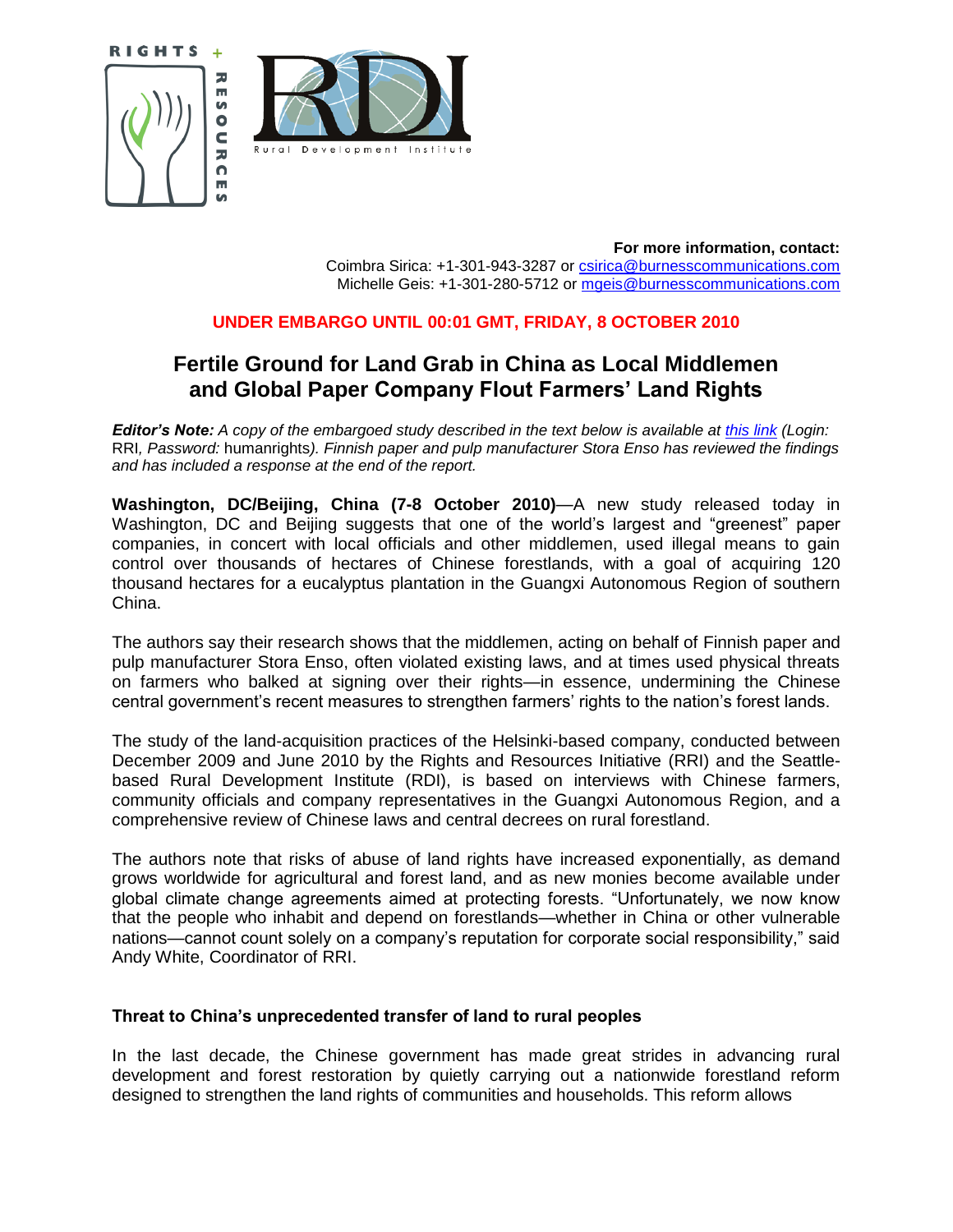





**For more information, contact:** Coimbra Sirica: +1-301-943-3287 or [csirica@burnesscommunications.com](mailto:csirica@burnesscommunications.com) Michelle Geis: +1-301-280-5712 or [mgeis@burnesscommunications.com](mailto:mgeis@burnesscommunications.com)

## **UNDER EMBARGO UNTIL 00:01 GMT, FRIDAY, 8 OCTOBER 2010**

# **Fertile Ground for Land Grab in China as Local Middlemen and Global Paper Company Flout Farmers' Land Rights**

*Editor's Note: A copy of the embargoed study described in the text below is available at [this link](http://www.rightsandresources.org/documents/quarantined/stora_enso.php) (Login:* RRI*, Password:* humanrights*). Finnish paper and pulp manufacturer Stora Enso has reviewed the findings and has included a response at the end of the report.*

**Washington, DC/Beijing, China (7-8 October 2010)**—A new study released today in Washington, DC and Beijing suggests that one of the world"s largest and "greenest" paper companies, in concert with local officials and other middlemen, used illegal means to gain control over thousands of hectares of Chinese forestlands, with a goal of acquiring 120 thousand hectares for a eucalyptus plantation in the Guangxi Autonomous Region of southern China.

The authors say their research shows that the middlemen, acting on behalf of Finnish paper and pulp manufacturer Stora Enso, often violated existing laws, and at times used physical threats on farmers who balked at signing over their rights—in essence, undermining the Chinese central government's recent measures to strengthen farmers' rights to the nation's forest lands.

The study of the land-acquisition practices of the Helsinki-based company, conducted between December 2009 and June 2010 by the Rights and Resources Initiative (RRI) and the Seattlebased Rural Development Institute (RDI), is based on interviews with Chinese farmers, community officials and company representatives in the Guangxi Autonomous Region, and a comprehensive review of Chinese laws and central decrees on rural forestland.

The authors note that risks of abuse of land rights have increased exponentially, as demand grows worldwide for agricultural and forest land, and as new monies become available under global climate change agreements aimed at protecting forests. "Unfortunately, we now know that the people who inhabit and depend on forestlands—whether in China or other vulnerable nations—cannot count solely on a company"s reputation for corporate social responsibility," said Andy White, Coordinator of RRI.

### **Threat to China's unprecedented transfer of land to rural peoples**

In the last decade, the Chinese government has made great strides in advancing rural development and forest restoration by quietly carrying out a nationwide forestland reform designed to strengthen the land rights of communities and households. This reform allows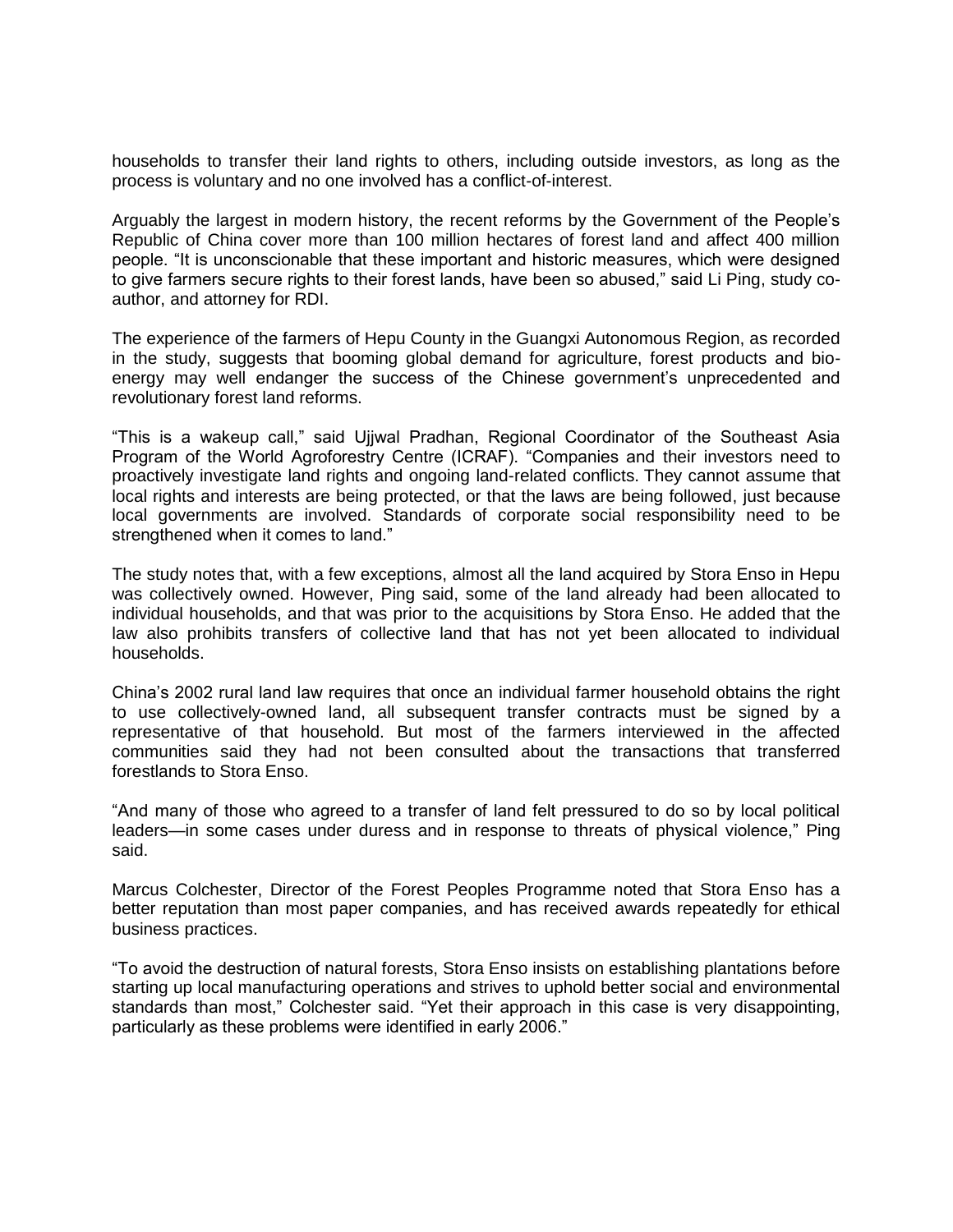households to transfer their land rights to others, including outside investors, as long as the process is voluntary and no one involved has a conflict-of-interest.

Arguably the largest in modern history, the recent reforms by the Government of the People"s Republic of China cover more than 100 million hectares of forest land and affect 400 million people. "It is unconscionable that these important and historic measures, which were designed to give farmers secure rights to their forest lands, have been so abused," said Li Ping, study coauthor, and attorney for RDI.

The experience of the farmers of Hepu County in the Guangxi Autonomous Region, as recorded in the study, suggests that booming global demand for agriculture, forest products and bioenergy may well endanger the success of the Chinese government"s unprecedented and revolutionary forest land reforms.

"This is a wakeup call," said Ujjwal Pradhan, Regional Coordinator of the Southeast Asia Program of the World Agroforestry Centre (ICRAF). "Companies and their investors need to proactively investigate land rights and ongoing land-related conflicts. They cannot assume that local rights and interests are being protected, or that the laws are being followed, just because local governments are involved. Standards of corporate social responsibility need to be strengthened when it comes to land."

The study notes that, with a few exceptions, almost all the land acquired by Stora Enso in Hepu was collectively owned. However, Ping said, some of the land already had been allocated to individual households, and that was prior to the acquisitions by Stora Enso. He added that the law also prohibits transfers of collective land that has not yet been allocated to individual households.

China"s 2002 rural land law requires that once an individual farmer household obtains the right to use collectively-owned land, all subsequent transfer contracts must be signed by a representative of that household. But most of the farmers interviewed in the affected communities said they had not been consulted about the transactions that transferred forestlands to Stora Enso.

"And many of those who agreed to a transfer of land felt pressured to do so by local political leaders—in some cases under duress and in response to threats of physical violence," Ping said.

Marcus Colchester, Director of the Forest Peoples Programme noted that Stora Enso has a better reputation than most paper companies, and has received awards repeatedly for ethical business practices.

"To avoid the destruction of natural forests, Stora Enso insists on establishing plantations before starting up local manufacturing operations and strives to uphold better social and environmental standards than most," Colchester said. "Yet their approach in this case is very disappointing, particularly as these problems were identified in early 2006."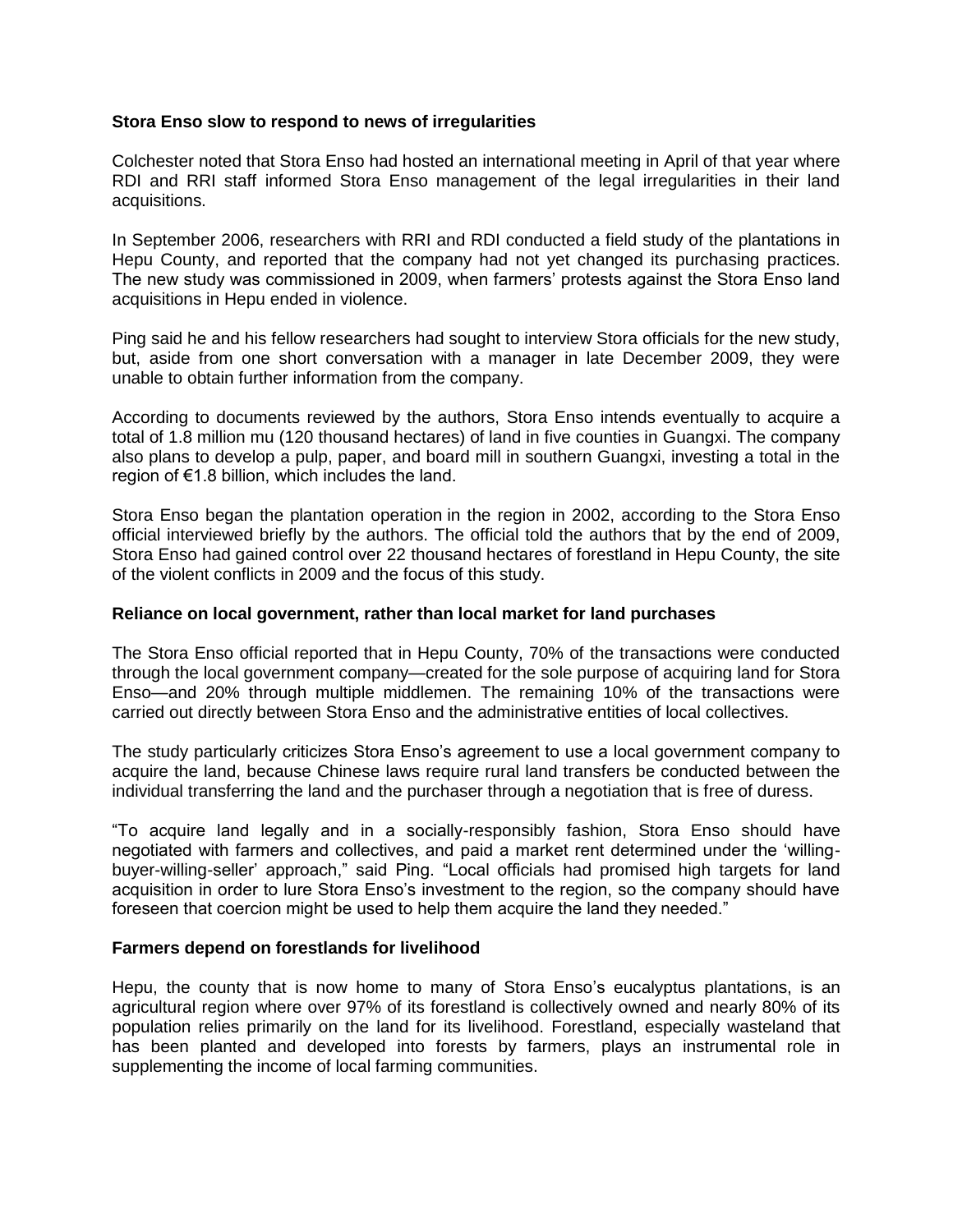#### **Stora Enso slow to respond to news of irregularities**

Colchester noted that Stora Enso had hosted an international meeting in April of that year where RDI and RRI staff informed Stora Enso management of the legal irregularities in their land acquisitions.

In September 2006, researchers with RRI and RDI conducted a field study of the plantations in Hepu County, and reported that the company had not yet changed its purchasing practices. The new study was commissioned in 2009, when farmers" protests against the Stora Enso land acquisitions in Hepu ended in violence.

Ping said he and his fellow researchers had sought to interview Stora officials for the new study, but, aside from one short conversation with a manager in late December 2009, they were unable to obtain further information from the company.

According to documents reviewed by the authors, Stora Enso intends eventually to acquire a total of 1.8 million mu (120 thousand hectares) of land in five counties in Guangxi. The company also plans to develop a pulp, paper, and board mill in southern Guangxi, investing a total in the region of €1.8 billion, which includes the land.

Stora Enso began the plantation operation in the region in 2002, according to the Stora Enso official interviewed briefly by the authors. The official told the authors that by the end of 2009, Stora Enso had gained control over 22 thousand hectares of forestland in Hepu County, the site of the violent conflicts in 2009 and the focus of this study.

#### **Reliance on local government, rather than local market for land purchases**

The Stora Enso official reported that in Hepu County, 70% of the transactions were conducted through the local government company—created for the sole purpose of acquiring land for Stora Enso—and 20% through multiple middlemen. The remaining 10% of the transactions were carried out directly between Stora Enso and the administrative entities of local collectives.

The study particularly criticizes Stora Enso"s agreement to use a local government company to acquire the land, because Chinese laws require rural land transfers be conducted between the individual transferring the land and the purchaser through a negotiation that is free of duress.

"To acquire land legally and in a socially-responsibly fashion, Stora Enso should have negotiated with farmers and collectives, and paid a market rent determined under the "willingbuyer-willing-seller" approach," said Ping. "Local officials had promised high targets for land acquisition in order to lure Stora Enso's investment to the region, so the company should have foreseen that coercion might be used to help them acquire the land they needed."

#### **Farmers depend on forestlands for livelihood**

Hepu, the county that is now home to many of Stora Enso's eucalyptus plantations, is an agricultural region where over 97% of its forestland is collectively owned and nearly 80% of its population relies primarily on the land for its livelihood. Forestland, especially wasteland that has been planted and developed into forests by farmers, plays an instrumental role in supplementing the income of local farming communities.